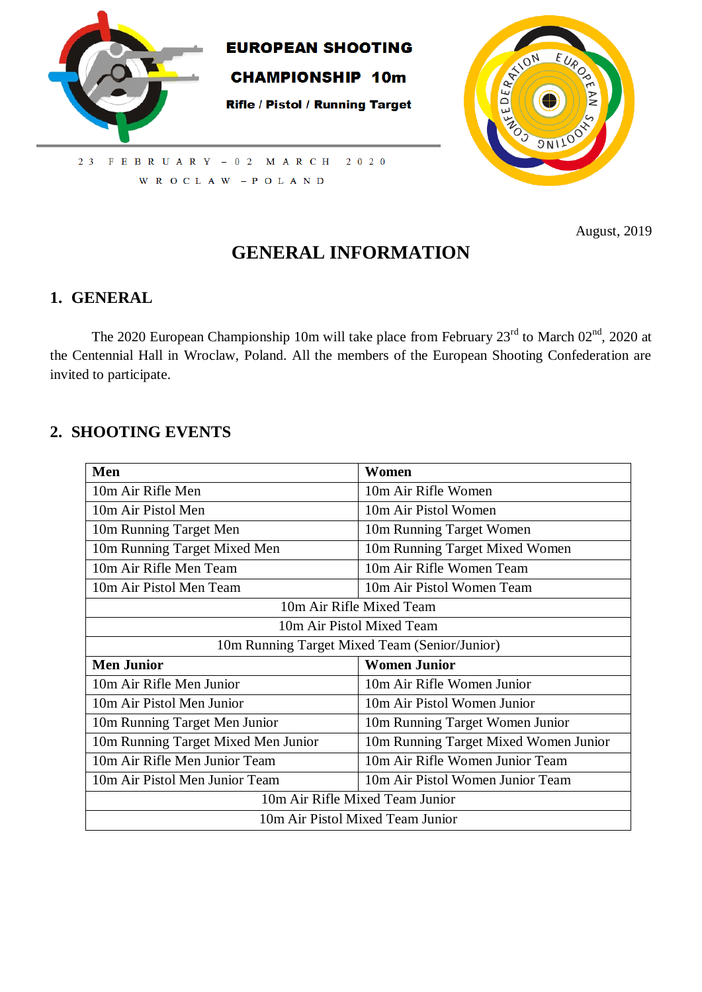



2 3 F E B R U A R Y - 0 2 M A R C H  $2 \t0 \t2 \t0$ W R O C L A W  $-$  P O L A N D

August, 2019

# **GENERAL INFORMATION**

### **1. GENERAL**

The 2020 European Championship 10m will take place from February  $23<sup>rd</sup>$  to March 02<sup>nd</sup>, 2020 at the Centennial Hall in Wroclaw, Poland. All the members of the European Shooting Confederation are invited to participate.

### **2. SHOOTING EVENTS**

| Men                                           | Women                                 |  |
|-----------------------------------------------|---------------------------------------|--|
| 10m Air Rifle Men                             | 10m Air Rifle Women                   |  |
| 10m Air Pistol Men                            | 10m Air Pistol Women                  |  |
| 10m Running Target Men                        | 10m Running Target Women              |  |
| 10m Running Target Mixed Men                  | 10m Running Target Mixed Women        |  |
| 10m Air Rifle Men Team                        | 10m Air Rifle Women Team              |  |
| 10m Air Pistol Men Team                       | 10m Air Pistol Women Team             |  |
|                                               | 10m Air Rifle Mixed Team              |  |
| 10m Air Pistol Mixed Team                     |                                       |  |
| 10m Running Target Mixed Team (Senior/Junior) |                                       |  |
| <b>Men Junior</b>                             | <b>Women Junior</b>                   |  |
| 10m Air Rifle Men Junior                      | 10m Air Rifle Women Junior            |  |
| 10m Air Pistol Men Junior                     | 10m Air Pistol Women Junior           |  |
| 10m Running Target Men Junior                 | 10m Running Target Women Junior       |  |
| 10m Running Target Mixed Men Junior           | 10m Running Target Mixed Women Junior |  |
| 10m Air Rifle Men Junior Team                 | 10m Air Rifle Women Junior Team       |  |
| 10m Air Pistol Men Junior Team                | 10m Air Pistol Women Junior Team      |  |
| 10m Air Rifle Mixed Team Junior               |                                       |  |
| 10m Air Pistol Mixed Team Junior              |                                       |  |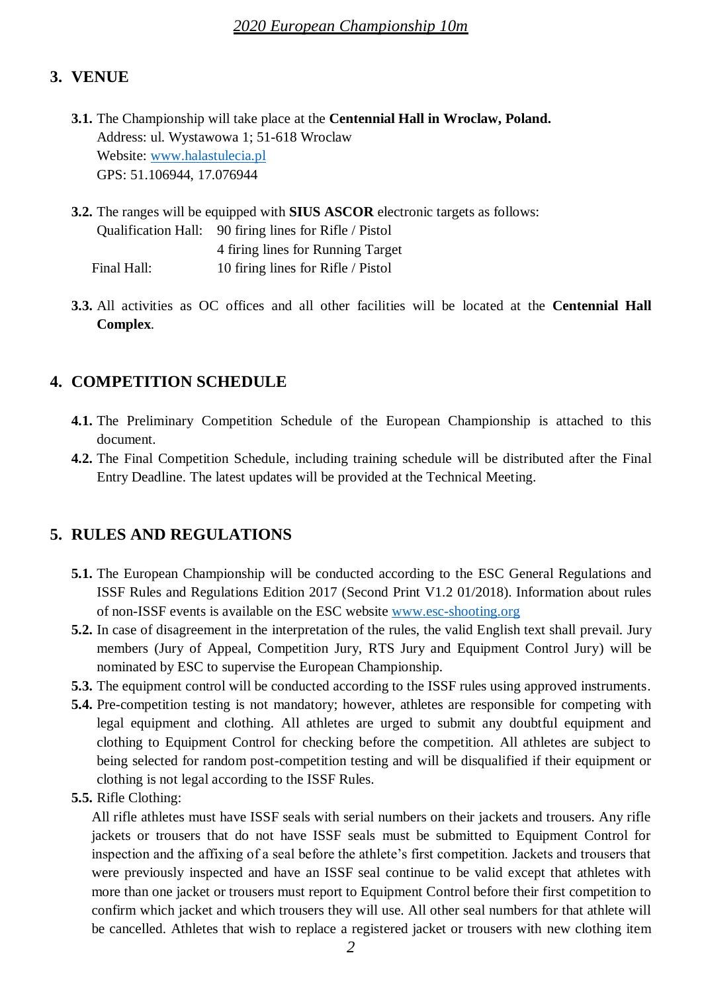# **3. VENUE**

**3.1.** The Championship will take place at the **Centennial Hall in Wroclaw, Poland.** Address: ul. Wystawowa 1; 51-618 Wroclaw Website: [www.halastulecia.pl](http://www.halastulecia.pl/) GPS: 51.106944, 17.076944

**3.2.** The ranges will be equipped with **SIUS ASCOR** electronic targets as follows: Qualification Hall: 90 firing lines for Rifle / Pistol 4 firing lines for Running Target Final Hall: 10 firing lines for Rifle / Pistol

**3.3.** All activities as OC offices and all other facilities will be located at the **Centennial Hall Complex**.

# **4. COMPETITION SCHEDULE**

- **4.1.** The Preliminary Competition Schedule of the European Championship is attached to this document.
- **4.2.** The Final Competition Schedule, including training schedule will be distributed after the Final Entry Deadline. The latest updates will be provided at the Technical Meeting.

# **5. RULES AND REGULATIONS**

- **5.1.** The European Championship will be conducted according to the ESC General Regulations and ISSF Rules and Regulations Edition 2017 (Second Print V1.2 01/2018). Information about rules of non-ISSF events is available on the ESC website [www.esc-shooting.org](http://www.esc-shooting.org/)
- **5.2.** In case of disagreement in the interpretation of the rules, the valid English text shall prevail. Jury members (Jury of Appeal, Competition Jury, RTS Jury and Equipment Control Jury) will be nominated by ESC to supervise the European Championship.
- **5.3.** The equipment control will be conducted according to the ISSF rules using approved instruments.
- **5.4.** Pre-competition testing is not mandatory; however, athletes are responsible for competing with legal equipment and clothing. All athletes are urged to submit any doubtful equipment and clothing to Equipment Control for checking before the competition. All athletes are subject to being selected for random post-competition testing and will be disqualified if their equipment or clothing is not legal according to the ISSF Rules.
- **5.5.** Rifle Clothing:

All rifle athletes must have ISSF seals with serial numbers on their jackets and trousers. Any rifle jackets or trousers that do not have ISSF seals must be submitted to Equipment Control for inspection and the affixing of a seal before the athlete's first competition. Jackets and trousers that were previously inspected and have an ISSF seal continue to be valid except that athletes with more than one jacket or trousers must report to Equipment Control before their first competition to confirm which jacket and which trousers they will use. All other seal numbers for that athlete will be cancelled. Athletes that wish to replace a registered jacket or trousers with new clothing item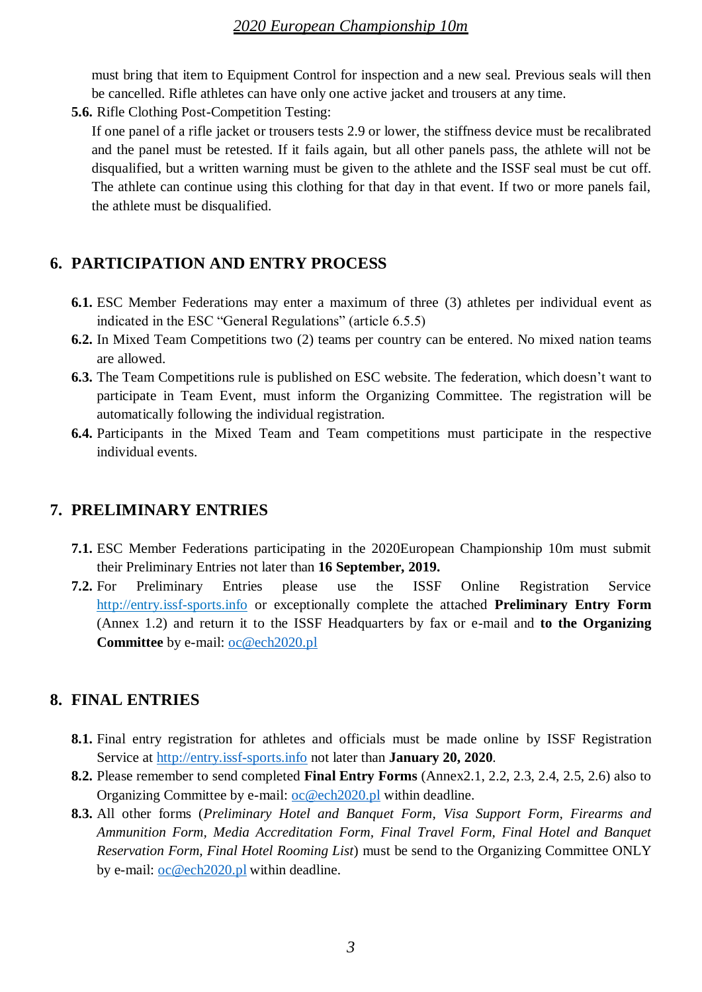must bring that item to Equipment Control for inspection and a new seal. Previous seals will then be cancelled. Rifle athletes can have only one active jacket and trousers at any time.

**5.6.** Rifle Clothing Post-Competition Testing:

If one panel of a rifle jacket or trousers tests 2.9 or lower, the stiffness device must be recalibrated and the panel must be retested. If it fails again, but all other panels pass, the athlete will not be disqualified, but a written warning must be given to the athlete and the ISSF seal must be cut off. The athlete can continue using this clothing for that day in that event. If two or more panels fail, the athlete must be disqualified.

# **6. PARTICIPATION AND ENTRY PROCESS**

- **6.1.** ESC Member Federations may enter a maximum of three (3) athletes per individual event as indicated in the ESC "General Regulations" (article 6.5.5)
- **6.2.** In Mixed Team Competitions two (2) teams per country can be entered. No mixed nation teams are allowed.
- **6.3.** The Team Competitions rule is published on ESC website. The federation, which doesn't want to participate in Team Event, must inform the Organizing Committee. The registration will be automatically following the individual registration.
- **6.4.** Participants in the Mixed Team and Team competitions must participate in the respective individual events.

### **7. PRELIMINARY ENTRIES**

- **7.1.** ESC Member Federations participating in the 2020European Championship 10m must submit their Preliminary Entries not later than **16 September, 2019.**
- **7.2.** For Preliminary Entries please use the ISSF Online Registration Service http://entry.issf-sports.info or exceptionally complete the attached **Preliminary Entry Form** (Annex 1.2) and return it to the ISSF Headquarters by fax or e-mail and **to the Organizing Committee** by e-mail: [oc@ech2020.pl](mailto:oc@ech2020.pl)

### **8. FINAL ENTRIES**

- **8.1.** Final entry registration for athletes and officials must be made online by ISSF Registration Service at [http://entry.issf-sports.info](http://entry.issf-sports.info/) not later than **January 20, 2020**.
- **8.2.** Please remember to send completed **Final Entry Forms** (Annex2.1, 2.2, 2.3, 2.4, 2.5, 2.6) also to Organizing Committee by e-mail: [oc@ech2020.pl](mailto:oc@ech2020.pl) within deadline.
- **8.3.** All other forms (*Preliminary Hotel and Banquet Form, Visa Support Form, Firearms and Ammunition Form, Media Accreditation Form, Final Travel Form, Final Hotel and Banquet Reservation Form, Final Hotel Rooming List*) must be send to the Organizing Committee ONLY by e-mail: [oc@ech2020.pl](mailto:oc@ech2020.pl) within deadline.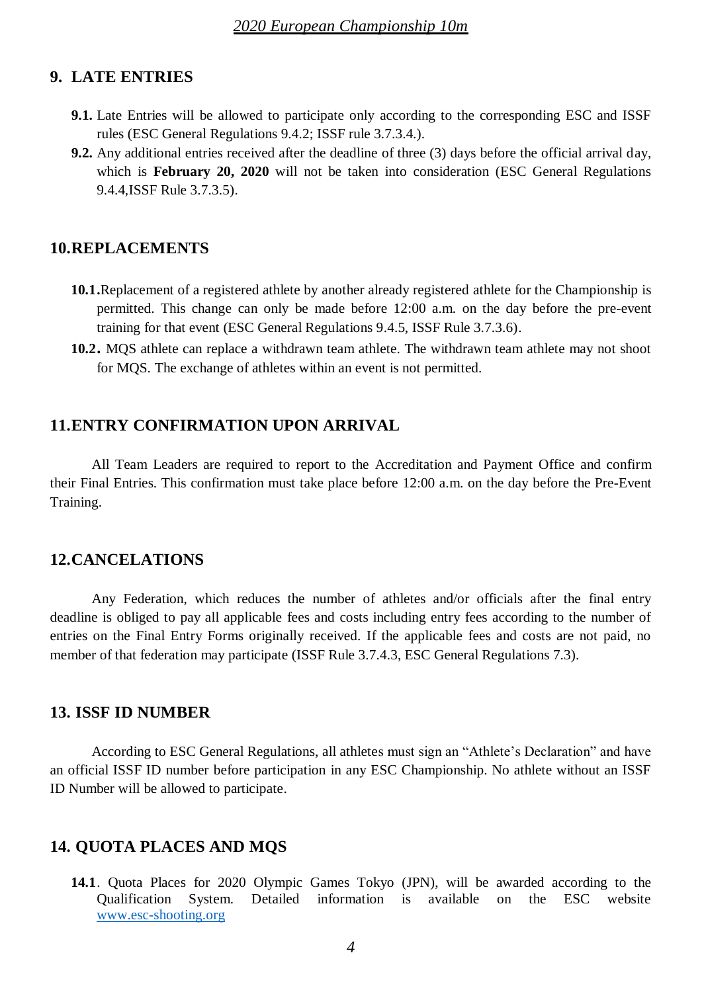### **9. LATE ENTRIES**

- **9.1.** Late Entries will be allowed to participate only according to the corresponding ESC and ISSF rules (ESC General Regulations 9.4.2; ISSF rule 3.7.3.4.).
- **9.2.** Any additional entries received after the deadline of three (3) days before the official arrival day, which is **February 20, 2020** will not be taken into consideration (ESC General Regulations 9.4.4,ISSF Rule 3.7.3.5).

#### **10.REPLACEMENTS**

- **10.1.**Replacement of a registered athlete by another already registered athlete for the Championship is permitted. This change can only be made before 12:00 a.m. on the day before the pre-event training for that event (ESC General Regulations 9.4.5, ISSF Rule 3.7.3.6).
- **10.2.** MQS athlete can replace a withdrawn team athlete. The withdrawn team athlete may not shoot for MQS. The exchange of athletes within an event is not permitted.

### **11.ENTRY CONFIRMATION UPON ARRIVAL**

All Team Leaders are required to report to the Accreditation and Payment Office and confirm their Final Entries. This confirmation must take place before 12:00 a.m. on the day before the Pre-Event Training.

#### **12.CANCELATIONS**

Any Federation, which reduces the number of athletes and/or officials after the final entry deadline is obliged to pay all applicable fees and costs including entry fees according to the number of entries on the Final Entry Forms originally received. If the applicable fees and costs are not paid, no member of that federation may participate (ISSF Rule 3.7.4.3, ESC General Regulations 7.3).

#### **13. ISSF ID NUMBER**

According to ESC General Regulations, all athletes must sign an "Athlete's Declaration" and have an official ISSF ID number before participation in any ESC Championship. No athlete without an ISSF ID Number will be allowed to participate.

#### **14. QUOTA PLACES AND MQS**

**14.1**. Quota Places for 2020 Olympic Games Tokyo (JPN), will be awarded according to the Qualification System. Detailed information is available on the ESC website [www.esc-shooting.org](http://www.esc-shooting.org/)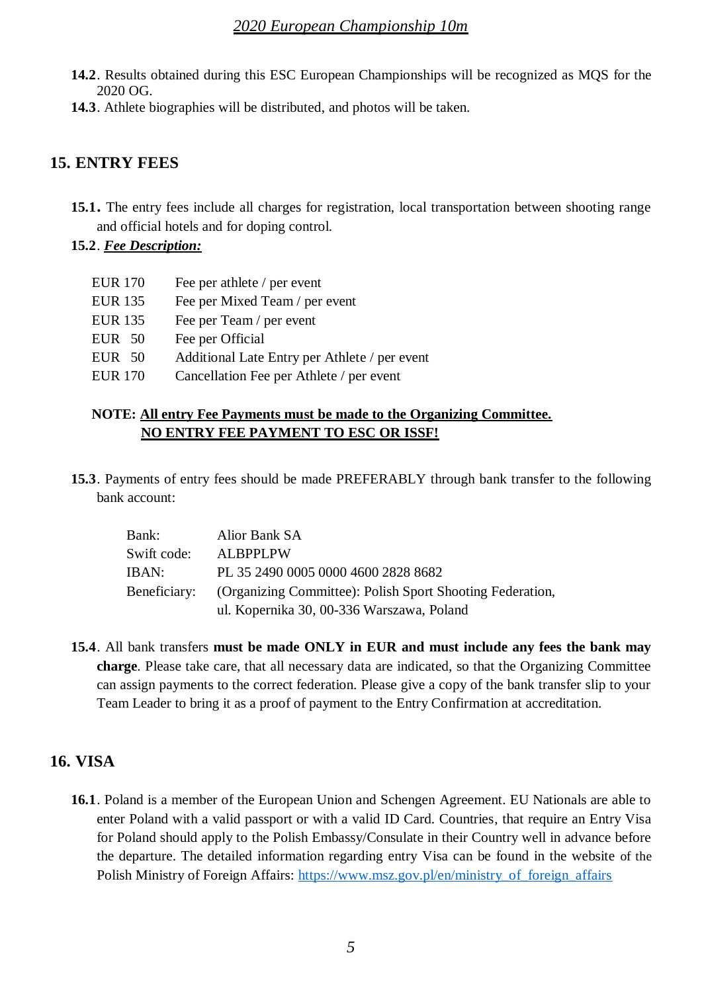- **14.2**. Results obtained during this ESC European Championships will be recognized as MQS for the 2020 OG.
- **14.3**. Athlete biographies will be distributed, and photos will be taken.

### **15. ENTRY FEES**

- **15.1.** The entry fees include all charges for registration, local transportation between shooting range and official hotels and for doping control.
- **15.2**. *Fee Description:*

| <b>EUR 170</b> | Fee per athlete / per event                   |
|----------------|-----------------------------------------------|
| <b>EUR 135</b> | Fee per Mixed Team / per event                |
| <b>EUR 135</b> | Fee per Team / per event                      |
| $EUR$ 50       | Fee per Official                              |
| $EUR$ 50       | Additional Late Entry per Athlete / per event |
| <b>EUR 170</b> | Cancellation Fee per Athlete / per event      |
|                |                                               |

### **NOTE: All entry Fee Payments must be made to the Organizing Committee. NO ENTRY FEE PAYMENT TO ESC OR ISSF!**

**15.3**. Payments of entry fees should be made PREFERABLY through bank transfer to the following bank account:

| Bank:       | Alior Bank SA                                                          |
|-------------|------------------------------------------------------------------------|
| Swift code: | <b>ALBPPLPW</b>                                                        |
| IBAN:       | PL 35 2490 0005 0000 4600 2828 8682                                    |
|             | Beneficiary: (Organizing Committee): Polish Sport Shooting Federation, |
|             | ul. Kopernika 30, 00-336 Warszawa, Poland                              |

**15.4**. All bank transfers **must be made ONLY in EUR and must include any fees the bank may charge**. Please take care, that all necessary data are indicated, so that the Organizing Committee can assign payments to the correct federation. Please give a copy of the bank transfer slip to your Team Leader to bring it as a proof of payment to the Entry Confirmation at accreditation.

# **16. VISA**

**16.1**. Poland is a member of the European Union and Schengen Agreement. EU Nationals are able to enter Poland with a valid passport or with a valid ID Card. Countries, that require an Entry Visa for Poland should apply to the Polish Embassy/Consulate in their Country well in advance before the departure. The detailed information regarding entry Visa can be found in the website of the Polish Ministry of Foreign Affairs: [https://www.msz.gov.pl/en/ministry\\_of\\_foreign\\_affairs](https://www.msz.gov.pl/en/ministry_of_foreign_affairs)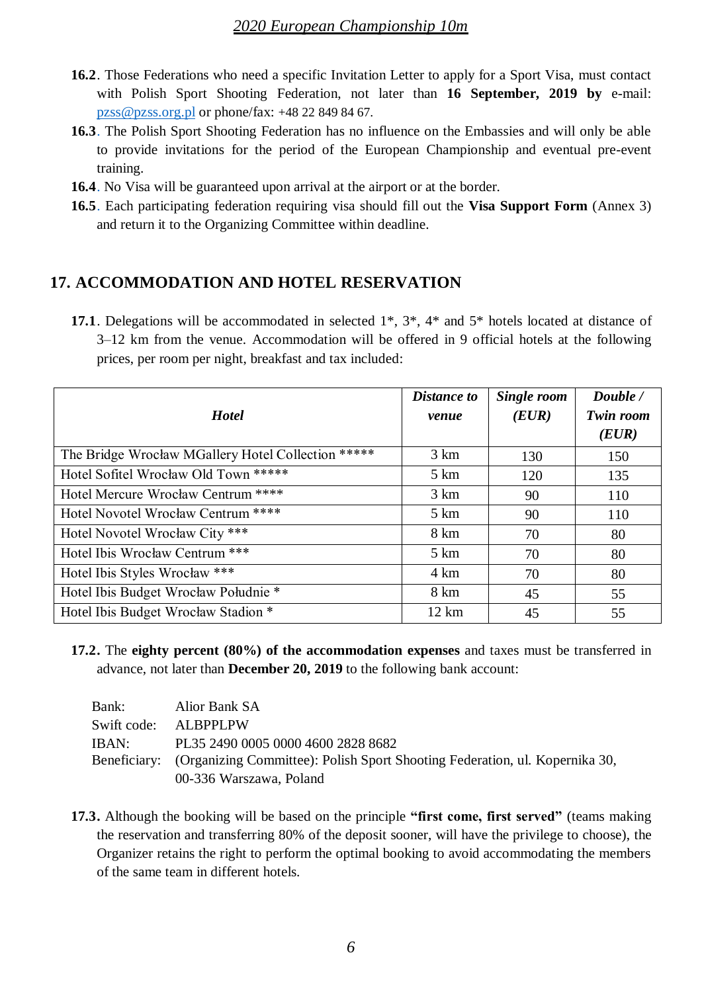- **16.2**. Those Federations who need a specific Invitation Letter to apply for a Sport Visa, must contact with Polish Sport Shooting Federation, not later than **16 September, 2019 by** e-mail: [pzss@pzss.org.pl](mailto:pzss@pzss.org.pl) or phone/fax: +48 22 849 84 67.
- **16.3**. The Polish Sport Shooting Federation has no influence on the Embassies and will only be able to provide invitations for the period of the European Championship and eventual pre-event training.
- **16.4**. No Visa will be guaranteed upon arrival at the airport or at the border.
- **16.5**. Each participating federation requiring visa should fill out the **Visa Support Form** (Annex 3) and return it to the Organizing Committee within deadline.

### **17. ACCOMMODATION AND HOTEL RESERVATION**

**17.1**. Delegations will be accommodated in selected 1\*, 3\*, 4\* and 5\* hotels located at distance of 3–12 km from the venue. Accommodation will be offered in 9 official hotels at the following prices, per room per night, breakfast and tax included:

| <b>Hotel</b>                                       | <b>Distance to</b><br>venue | Single room<br>(EUR) | Double /<br><b>Twin room</b><br>(EUR) |
|----------------------------------------------------|-----------------------------|----------------------|---------------------------------------|
| The Bridge Wrocław MGallery Hotel Collection ***** | 3 km                        | 130                  | 150                                   |
| Hotel Sofitel Wrocław Old Town *****               | 5 km                        | 120                  | 135                                   |
| Hotel Mercure Wrocław Centrum ****                 | 3 km                        | 90                   | 110                                   |
| Hotel Novotel Wrocław Centrum ****                 | $5 \mathrm{km}$             | 90                   | 110                                   |
| Hotel Novotel Wrocław City ***                     | 8 km                        | 70                   | 80                                    |
| Hotel Ibis Wrocław Centrum ***                     | $5 \mathrm{km}$             | 70                   | 80                                    |
| Hotel Ibis Styles Wrocław ***                      | 4 km                        | 70                   | 80                                    |
| Hotel Ibis Budget Wrocław Południe*                | 8 km                        | 45                   | 55                                    |
| Hotel Ibis Budget Wrocław Stadion *                | $12 \text{ km}$             | 45                   | 55                                    |

**17.2.** The **eighty percent (80%) of the accommodation expenses** and taxes must be transferred in advance, not later than **December 20, 2019** to the following bank account:

| Bank: | Alior Bank SA                                                                            |
|-------|------------------------------------------------------------------------------------------|
|       | Swift code: ALBPPLPW                                                                     |
| IBAN: | PL35 2490 0005 0000 4600 2828 8682                                                       |
|       | Beneficiary: (Organizing Committee): Polish Sport Shooting Federation, ul. Kopernika 30, |
|       | 00-336 Warszawa, Poland                                                                  |

**17.3.** Although the booking will be based on the principle **"first come, first served"** (teams making the reservation and transferring 80% of the deposit sooner, will have the privilege to choose), the Organizer retains the right to perform the optimal booking to avoid accommodating the members of the same team in different hotels.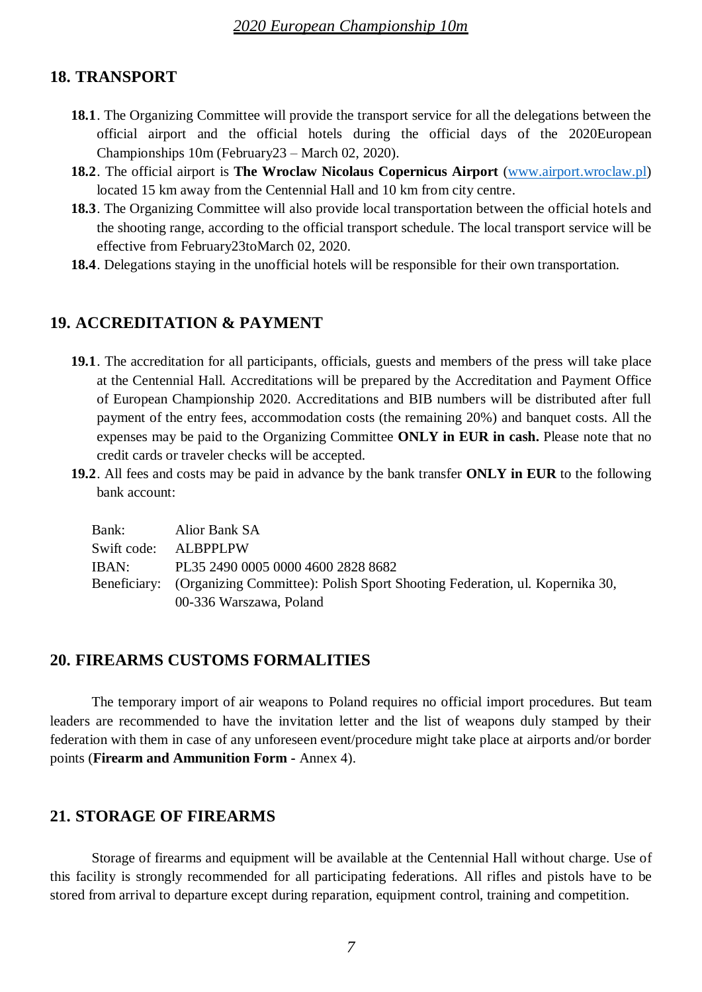#### **18. TRANSPORT**

- **18.1**. The Organizing Committee will provide the transport service for all the delegations between the official airport and the official hotels during the official days of the 2020European Championships 10m (February23 – March 02, 2020).
- **18.2**. The official airport is **The Wroclaw Nicolaus Copernicus Airport** [\(www.airport.wroclaw.pl\)](http://www.airport.wroclaw.pl/) located 15 km away from the Centennial Hall and 10 km from city centre.
- **18.3**. The Organizing Committee will also provide local transportation between the official hotels and the shooting range, according to the official transport schedule. The local transport service will be effective from February23toMarch 02, 2020.
- **18.4**. Delegations staying in the unofficial hotels will be responsible for their own transportation.

### **19. ACCREDITATION & PAYMENT**

- **19.1**. The accreditation for all participants, officials, guests and members of the press will take place at the Centennial Hall. Accreditations will be prepared by the Accreditation and Payment Office of European Championship 2020. Accreditations and BIB numbers will be distributed after full payment of the entry fees, accommodation costs (the remaining 20%) and banquet costs. All the expenses may be paid to the Organizing Committee **ONLY in EUR in cash.** Please note that no credit cards or traveler checks will be accepted.
- **19.2**. All fees and costs may be paid in advance by the bank transfer **ONLY in EUR** to the following bank account:

| Bank: | Alior Bank SA                                                                            |
|-------|------------------------------------------------------------------------------------------|
|       | Swift code: ALBPPLPW                                                                     |
| IBAN: | PL35 2490 0005 0000 4600 2828 8682                                                       |
|       | Beneficiary: (Organizing Committee): Polish Sport Shooting Federation, ul. Kopernika 30, |
|       | 00-336 Warszawa, Poland                                                                  |

#### **20. FIREARMS CUSTOMS FORMALITIES**

The temporary import of air weapons to Poland requires no official import procedures. But team leaders are recommended to have the invitation letter and the list of weapons duly stamped by their federation with them in case of any unforeseen event/procedure might take place at airports and/or border points (**Firearm and Ammunition Form -** Annex 4).

#### **21. STORAGE OF FIREARMS**

Storage of firearms and equipment will be available at the Centennial Hall without charge. Use of this facility is strongly recommended for all participating federations. All rifles and pistols have to be stored from arrival to departure except during reparation, equipment control, training and competition.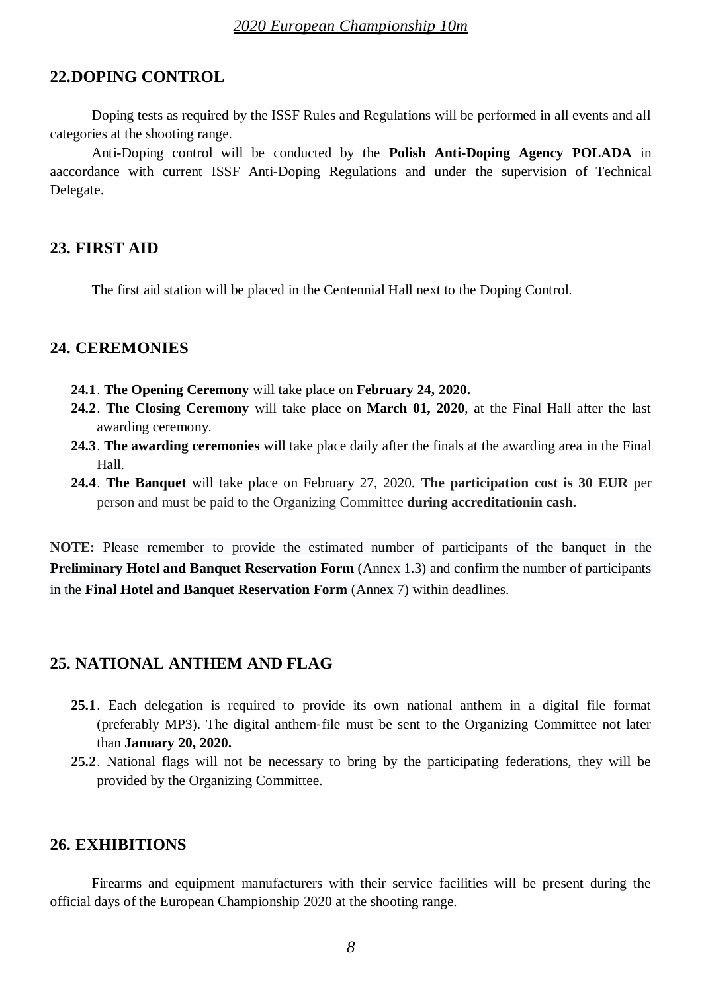### **22.DOPING CONTROL**

Doping tests as required by the ISSF Rules and Regulations will be performed in all events and all categories at the shooting range.

Anti-Doping control will be conducted by the **Polish Anti-Doping Agency POLADA** in aaccordance with current ISSF Anti-Doping Regulations and under the supervision of Technical Delegate.

#### **23. FIRST AID**

The first aid station will be placed in the Centennial Hall next to the Doping Control.

### **24. CEREMONIES**

- **24.1**. **The Opening Ceremony** will take place on **February 24, 2020.**
- **24.2**. **The Closing Ceremony** will take place on **March 01, 2020**, at the Final Hall after the last awarding ceremony.
- **24.3**. **The awarding ceremonies** will take place daily after the finals at the awarding area in the Final Hall.
- **24.4**. **The Banquet** will take place on February 27, 2020. **The participation cost is 30 EUR** per person and must be paid to the Organizing Committee **during accreditationin cash.**

**NOTE:** Please remember to provide the estimated number of participants of the banquet in the **Preliminary Hotel and Banquet Reservation Form** (Annex 1.3) and confirm the number of participants in the **Final Hotel and Banquet Reservation Form** (Annex 7) within deadlines.

### **25. NATIONAL ANTHEM AND FLAG**

- **25.1**. Each delegation is required to provide its own national anthem in a digital file format (preferably MP3). The digital anthem‐file must be sent to the Organizing Committee not later than **January 20, 2020.**
- **25.2**. National flags will not be necessary to bring by the participating federations, they will be provided by the Organizing Committee.

### **26. EXHIBITIONS**

Firearms and equipment manufacturers with their service facilities will be present during the official days of the European Championship 2020 at the shooting range.